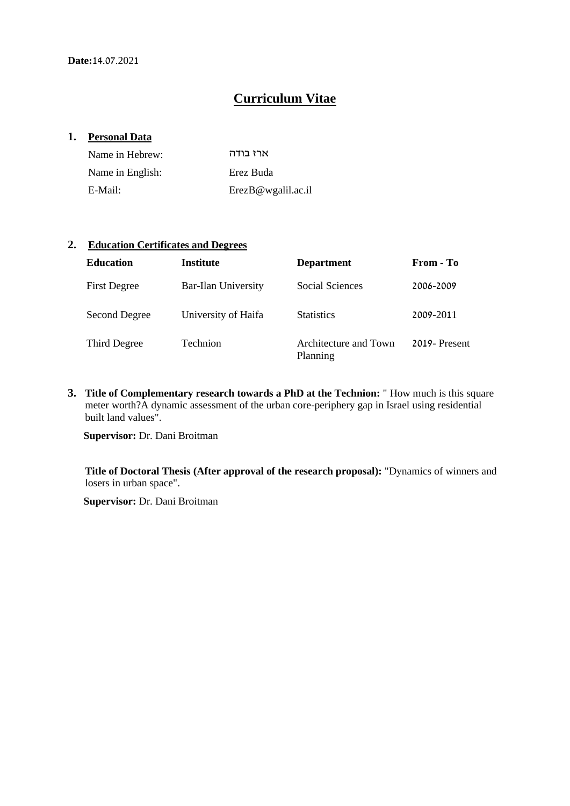# **Curriculum Vitae**

#### **1. Personal Data**

| Name in Hebrew:  | ארז בודה           |
|------------------|--------------------|
| Name in English: | Erez Buda          |
| E-Mail:          | ErezB@wgalil.ac.il |

#### **2. Education Certificates and Degrees**

| <b>Education</b>    | <b>Institute</b>           | <b>Department</b>                 | From - To    |
|---------------------|----------------------------|-----------------------------------|--------------|
| <b>First Degree</b> | <b>Bar-Ilan University</b> | Social Sciences                   | 2006-2009    |
| Second Degree       | University of Haifa        | <b>Statistics</b>                 | 2009-2011    |
| Third Degree        | <b>Technion</b>            | Architecture and Town<br>Planning | 2019-Present |

**3. Title of Complementary research towards a PhD at the Technion:** " How much is this square meter worth?A dynamic assessment of the urban core-periphery gap in Israel using residential built land values".

 **Supervisor:** Dr. Dani Broitman

**Title of Doctoral Thesis (After approval of the research proposal):** "Dynamics of winners and losers in urban space".

 **Supervisor:** Dr. Dani Broitman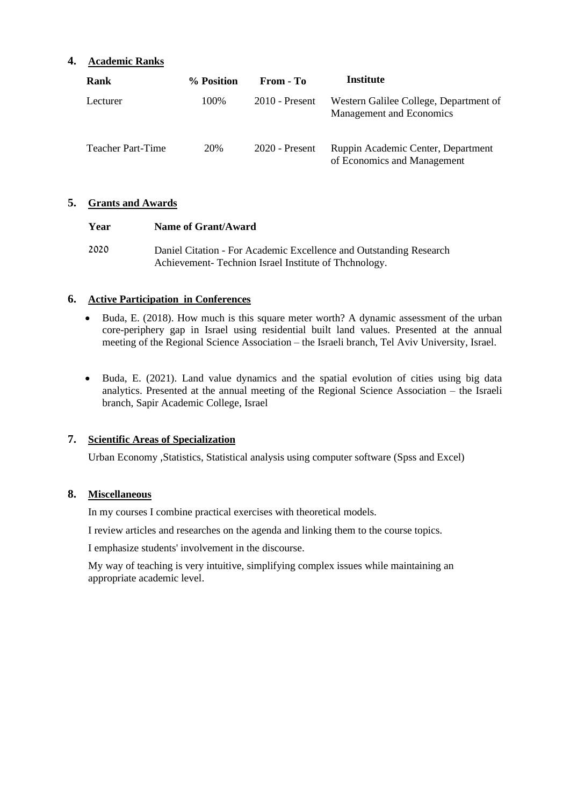#### **4. Academic Ranks**

| Rank                     | % Position | From - To        | Institute                                                          |
|--------------------------|------------|------------------|--------------------------------------------------------------------|
| Lecturer                 | 100\%      | $2010$ - Present | Western Galilee College, Department of<br>Management and Economics |
| <b>Teacher Part-Time</b> | 20%        | $2020$ - Present | Ruppin Academic Center, Department<br>of Economics and Management  |

#### **5. Grants and Awards**

| Year | Name of Grant/Award                                                |
|------|--------------------------------------------------------------------|
| 2020 | Daniel Citation - For Academic Excellence and Outstanding Research |
|      | Achievement-Technion Israel Institute of Thchnology.               |

#### **6. Active Participation in Conferences**

- Buda, E. (2018). How much is this square meter worth? A dynamic assessment of the urban core-periphery gap in Israel using residential built land values. Presented at the annual meeting of the Regional Science Association – the Israeli branch, Tel Aviv University, Israel.
- Buda, E. (2021). Land value dynamics and the spatial evolution of cities using big data analytics. Presented at the annual meeting of the Regional Science Association – the Israeli branch, Sapir Academic College, Israel

### **7. Scientific Areas of Specialization**

Urban Economy ,Statistics, Statistical analysis using computer software (Spss and Excel)

#### **8. Miscellaneous**

In my courses I combine practical exercises with theoretical models.

I review articles and researches on the agenda and linking them to the course topics.

I emphasize students' involvement in the discourse.

My way of teaching is very intuitive, simplifying complex issues while maintaining an appropriate academic level.